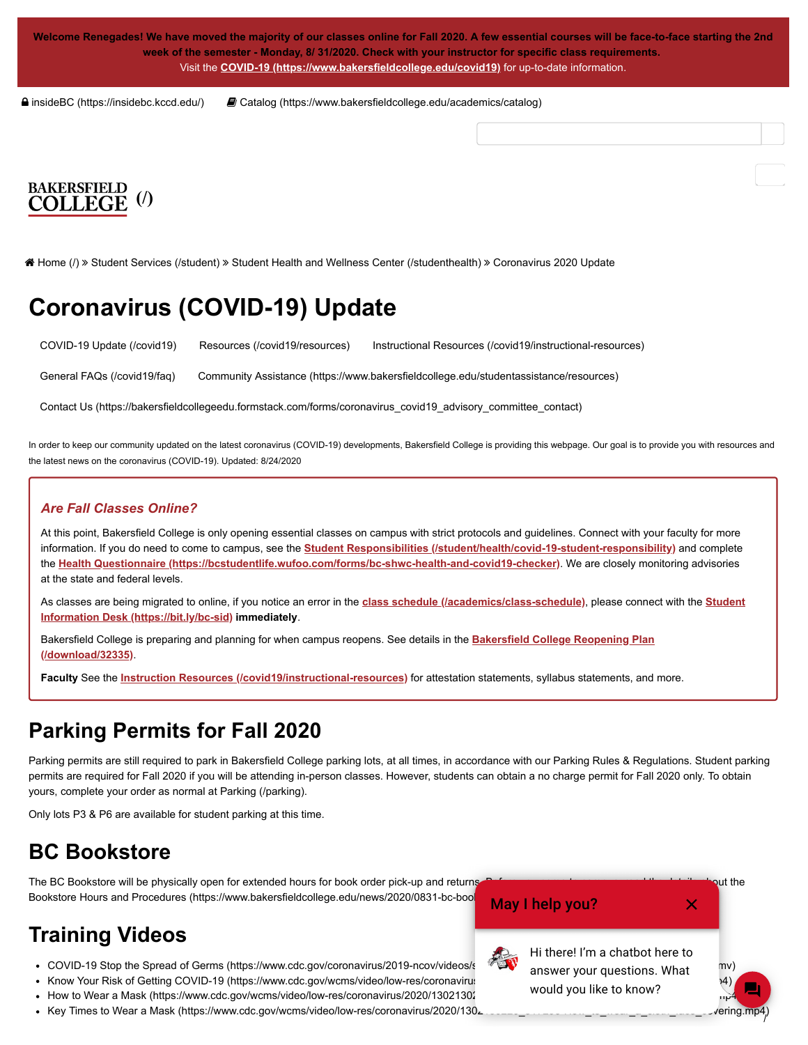**Welcome Renegades! We have moved the majority of our classes online for Fall 2020. A few essential courses will be face-to-face starting the 2nd week of the semester - Monday, 8/ 31/2020. Check with your instructor for specific class requirements.** Visit the **[COVID-19 \(https://www.bakersfieldcollege.edu/covid19\)](https://www.bakersfieldcollege.edu/covid19)** for up-to-date information.

 [insideBC \(https://insidebc.kccd.edu/\)](https://insidebc.kccd.edu/)  [Catalog \(https://www.bakersfieldcollege.edu/academics/catalog\)](https://www.bakersfieldcollege.edu/academics/catalog)

# **[\(/\)](https://www.bakersfieldcollege.edu/)**

 [Home \(/\)](https://www.bakersfieldcollege.edu/) [Student Services \(/student\)](https://www.bakersfieldcollege.edu/student) [Student Health and Wellness Center \(/studenthealth\)](https://www.bakersfieldcollege.edu/studenthealth) Coronavirus 2020 Update

## **Coronavirus (COVID-19) Update**

[COVID-19 Update \(/covid19\)](https://www.bakersfieldcollege.edu/covid19) [Resources \(/covid19/resources\)](https://www.bakersfieldcollege.edu/covid19/resources) [Instructional Resources \(/covid19/instructional-resources\)](https://www.bakersfieldcollege.edu/covid19/instructional-resources)

[General FAQs \(/covid19/faq\)](https://www.bakersfieldcollege.edu/covid19/faq) [Community Assistance \(https://www.bakersfieldcollege.edu/studentassistance/resources\)](https://www.bakersfieldcollege.edu/studentassistance/resources)

[Contact Us \(https://bakersfieldcollegeedu.formstack.com/forms/coronavirus\\_covid19\\_advisory\\_committee\\_contact\)](https://bakersfieldcollegeedu.formstack.com/forms/coronavirus_covid19_advisory_committee_contact)

In order to keep our community updated on the latest coronavirus (COVID-19) developments, Bakersfield College is providing this webpage. Our goal is to provide you with resources and the latest news on the coronavirus (COVID-19). Updated: 8/24/2020

#### *Are Fall Classes Online?*

At this point, Bakersfield College is only opening essential classes on campus with strict protocols and guidelines. Connect with your faculty for more information. If you do need to come to campus, see the **[Student Responsibilities \(/student/health/covid-19-student-responsibility\)](https://www.bakersfieldcollege.edu/student/health/covid-19-student-responsibility)** and complete the **[Health Questionnaire \(https://bcstudentlife.wufoo.com/forms/bc-shwc-health-and-covid19-checker\)](https://bcstudentlife.wufoo.com/forms/bc-shwc-health-and-covid19-checker)**. We are closely monitoring advisories at the state and federal levels.

[As classes are being migrated to online, if you notice an error in the](https://bit.ly/bc-sid) **[class schedule \(/academics/class-schedule\)](https://www.bakersfieldcollege.edu/academics/class-schedule)**, please connect with the **Student Information Desk (https://bit.ly/bc-sid) immediately**.

[Bakersfield College is preparing and planning for when campus reopens. See details in the](https://www.bakersfieldcollege.edu/download/32335) **Bakersfield College Reopening Plan (/download/32335)**.

**Faculty** See the **[Instruction Resources \(/covid19/instructional-resources\)](https://www.bakersfieldcollege.edu/covid19/instructional-resources)** for attestation statements, syllabus statements, and more.

### **Parking Permits for Fall 2020**

Parking permits are still required to park in Bakersfield College parking lots, at all times, in accordance with our Parking Rules & Regulations. Student parking permits are required for Fall 2020 if you will be attending in-person classes. However, students can obtain a no charge permit for Fall 2020 only. To obtain yours, complete your order as normal at [Parking \(/parking\).](https://www.bakersfieldcollege.edu/parking)

Only lots P3 & P6 are available for student parking at this time.

### **BC Bookstore**

The BC Bookstore will be physically open for extended hours for book order pick-up and returns. Before you come to came to campus, read the details about the Bookstore Hours and Procedures (https://www.bakersfieldcollege.edu/news/2020/0831-bc-boo

### **Training Videos**

- COVID-19 Stop the Spread of Germs (https://www.cdc.gov/coronavirus/2019-ncov/videos/stop-spare Maritime-Spread-
- Know Your Risk of Getting COVID-19 (https://www.cdc.gov/wcms/video/low-res/coronavirus
- How to Wear a Mask (https://www.cdc.gov/wcms/video/low-res/coronavirus/2020/13021302
- Key Times to Wear a Mask (https://www.cdc.gov/wcms/video/low-res/coronavirus/2020/130∠ . د د المعالية المسابق المستوى المستقل المستقل المستقل المستقل المستقل المستقل المستقل المستقل المستقل المستقل المستقل المستقل المست



May I help you?

Hi there! I'm a chatbot here to answer your questions. What would you like to know?



 $\bm{\times}$